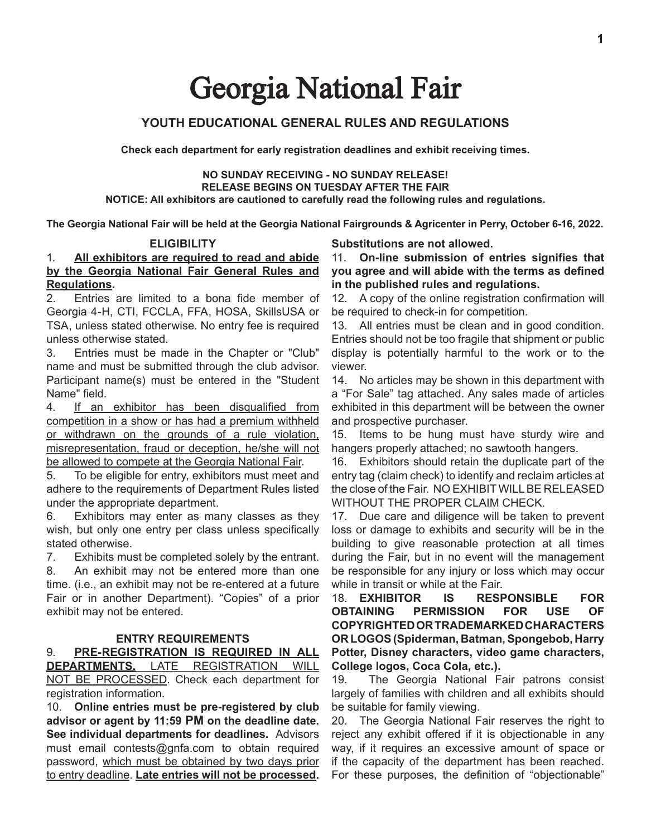# Georgia National Fair

## **YOUTH EDUCATIONAL GENERAL RULES AND REGULATIONS**

**Check each department for early registration deadlines and exhibit receiving times.**

## **NO SUNDAY RECEIVING - NO SUNDAY RELEASE! RELEASE BEGINS ON TUESDAY AFTER THE FAIR**

**NOTICE: All exhibitors are cautioned to carefully read the following rules and regulations.**

**The Georgia National Fair will be held at the Georgia National Fairgrounds & Agricenter in Perry, October 6-16, 2022.**

#### **ELIGIBILITY**

## 1. **All exhibitors are required to read and abide by the Georgia National Fair General Rules and Regulations.**

2. Entries are limited to a bona fide member of Georgia 4-H, CTI, FCCLA, FFA, HOSA, SkillsUSA or TSA, unless stated otherwise. No entry fee is required unless otherwise stated.

3. Entries must be made in the Chapter or "Club" name and must be submitted through the club advisor. Participant name(s) must be entered in the "Student Name" field.

4. If an exhibitor has been disqualified from competition in a show or has had a premium withheld or withdrawn on the grounds of a rule violation, misrepresentation, fraud or deception, he/she will not be allowed to compete at the Georgia National Fair.

5. To be eligible for entry, exhibitors must meet and adhere to the requirements of Department Rules listed under the appropriate department.

6. Exhibitors may enter as many classes as they wish, but only one entry per class unless specifically stated otherwise.

7. Exhibits must be completed solely by the entrant.

8. An exhibit may not be entered more than one time. (i.e., an exhibit may not be re-entered at a future Fair or in another Department). "Copies" of a prior exhibit may not be entered.

#### **ENTRY REQUIREMENTS**

9. **PRE-REGISTRATION IS REQUIRED IN ALL DEPARTMENTS.** LATE REGISTRATION WILL NOT BE PROCESSED. Check each department for registration information.

10. **Online entries must be pre-registered by club advisor or agent by 11:59 PM on the deadline date. See individual departments for deadlines.** Advisors must email contests@gnfa.com to obtain required password, which must be obtained by two days prior to entry deadline. **Late entries will not be processed.** 

**Substitutions are not allowed.** 

11. **On-line submission of entries signifies that you agree and will abide with the terms as defined in the published rules and regulations.** 

12. A copy of the online registration confirmation will be required to check-in for competition.

13. All entries must be clean and in good condition. Entries should not be too fragile that shipment or public display is potentially harmful to the work or to the viewer.

14. No articles may be shown in this department with a "For Sale" tag attached. Any sales made of articles exhibited in this department will be between the owner and prospective purchaser.

15. Items to be hung must have sturdy wire and hangers properly attached; no sawtooth hangers.

16. Exhibitors should retain the duplicate part of the entry tag (claim check) to identify and reclaim articles at the close of the Fair. NO EXHIBIT WILLBE RELEASED WITHOUT THE PROPER CLAIM CHECK.

17. Due care and diligence will be taken to prevent loss or damage to exhibits and security will be in the building to give reasonable protection at all times during the Fair, but in no event will the management be responsible for any injury or loss which may occur while in transit or while at the Fair.

18. **EXHIBITOR IS RESPONSIBLE FOR OBTAINING PERMISSION FOR USE OF COPYRIGHTED OR TRADEMARKED CHARACTERS OR LOGOS (Spiderman, Batman, Spongebob, Harry Potter, Disney characters, video game characters, College logos, Coca Cola, etc.).**

19. The Georgia National Fair patrons consist largely of families with children and all exhibits should be suitable for family viewing.

20. The Georgia National Fair reserves the right to reject any exhibit offered if it is objectionable in any way, if it requires an excessive amount of space or if the capacity of the department has been reached. For these purposes, the definition of "objectionable"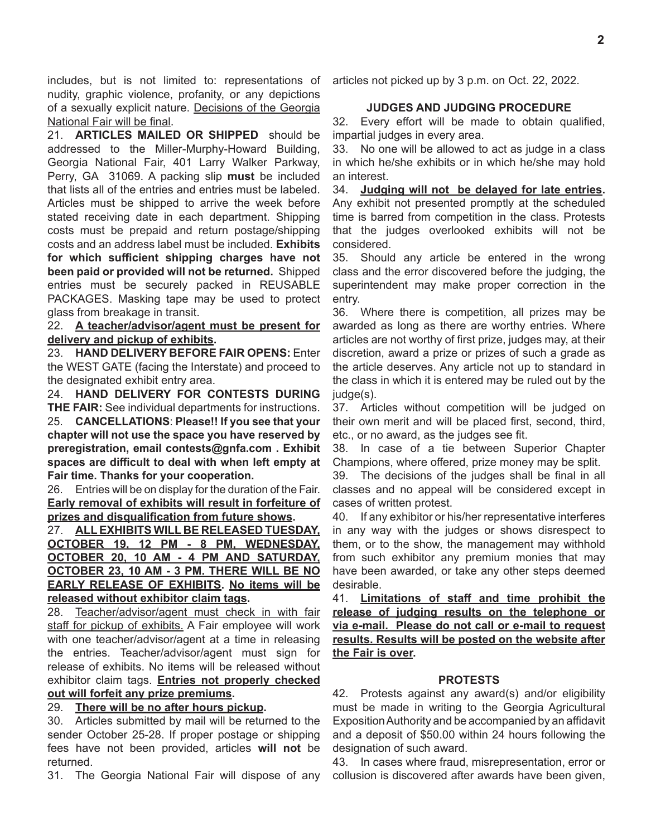includes, but is not limited to: representations of nudity, graphic violence, profanity, or any depictions of a sexually explicit nature. Decisions of the Georgia National Fair will be final.

21. **ARTICLES MAILED OR SHIPPED** should be addressed to the Miller-Murphy-Howard Building, Georgia National Fair, 401 Larry Walker Parkway, Perry, GA 31069. A packing slip **must** be included that lists all of the entries and entries must be labeled. Articles must be shipped to arrive the week before stated receiving date in each department. Shipping costs must be prepaid and return postage/shipping costs and an address label must be included. **Exhibits for which sufficient shipping charges have not been paid or provided will not be returned.** Shipped entries must be securely packed in REUSABLE PACKAGES. Masking tape may be used to protect glass from breakage in transit.

22. **A teacher/advisor/agent must be present for delivery and pickup of exhibits.**

23. **HAND DELIVERY BEFORE FAIR OPENS:** Enter the WEST GATE (facing the Interstate) and proceed to the designated exhibit entry area.

24. **HAND DELIVERY FOR CONTESTS DURING THE FAIR:** See individual departments for instructions.

25. **CANCELLATIONS**: **Please!! If you see that your chapter will not use the space you have reserved by preregistration, email contests@gnfa.com . Exhibit spaces are difficult to deal with when left empty at Fair time. Thanks for your cooperation.**

26. Entries will be on display for the duration of the Fair. **Early removal of exhibits will result in forfeiture of prizes and disqualification from future shows.** 

27. **ALL EXHIBITS WILL BE RELEASED TUESDAY, OCTOBER 19, 12 PM - 8 PM, WEDNESDAY, OCTOBER 20, 10 AM - 4 PM AND SATURDAY, OCTOBER 23, 10 AM - 3 PM. THERE WILL BE NO EARLY RELEASE OF EXHIBITS. No items will be released without exhibitor claim tags.**

28. Teacher/advisor/agent must check in with fair staff for pickup of exhibits. A Fair employee will work with one teacher/advisor/agent at a time in releasing the entries. Teacher/advisor/agent must sign for release of exhibits. No items will be released without exhibitor claim tags. **Entries not properly checked out will forfeit any prize premiums.**

## 29. **There will be no after hours pickup.**

30. Articles submitted by mail will be returned to the sender October 25-28. If proper postage or shipping fees have not been provided, articles **will not** be returned.

31. The Georgia National Fair will dispose of any

articles not picked up by 3 p.m. on Oct. 22, 2022.

## **JUDGES AND JUDGING PROCEDURE**

32. Every effort will be made to obtain qualified, impartial judges in every area.

33. No one will be allowed to act as judge in a class in which he/she exhibits or in which he/she may hold an interest.

34. **Judging will not be delayed for late entries.**  Any exhibit not presented promptly at the scheduled time is barred from competition in the class. Protests that the judges overlooked exhibits will not be considered.

35. Should any article be entered in the wrong class and the error discovered before the judging, the superintendent may make proper correction in the entry.

36. Where there is competition, all prizes may be awarded as long as there are worthy entries. Where articles are not worthy of first prize, judges may, at their discretion, award a prize or prizes of such a grade as the article deserves. Any article not up to standard in the class in which it is entered may be ruled out by the judge(s).

37. Articles without competition will be judged on their own merit and will be placed first, second, third, etc., or no award, as the judges see fit.

38. In case of a tie between Superior Chapter Champions, where offered, prize money may be split.

39. The decisions of the judges shall be final in all classes and no appeal will be considered except in cases of written protest.

40. If any exhibitor or his/her representative interferes in any way with the judges or shows disrespect to them, or to the show, the management may withhold from such exhibitor any premium monies that may have been awarded, or take any other steps deemed desirable.

41. **Limitations of staff and time prohibit the release of judging results on the telephone or via e-mail. Please do not call or e-mail to request results. Results will be posted on the website after the Fair is over.**

## **PROTESTS**

42. Protests against any award(s) and/or eligibility must be made in writing to the Georgia Agricultural ExpositionAuthority and be accompanied by an affidavit and a deposit of \$50.00 within 24 hours following the designation of such award.

43. In cases where fraud, misrepresentation, error or collusion is discovered after awards have been given,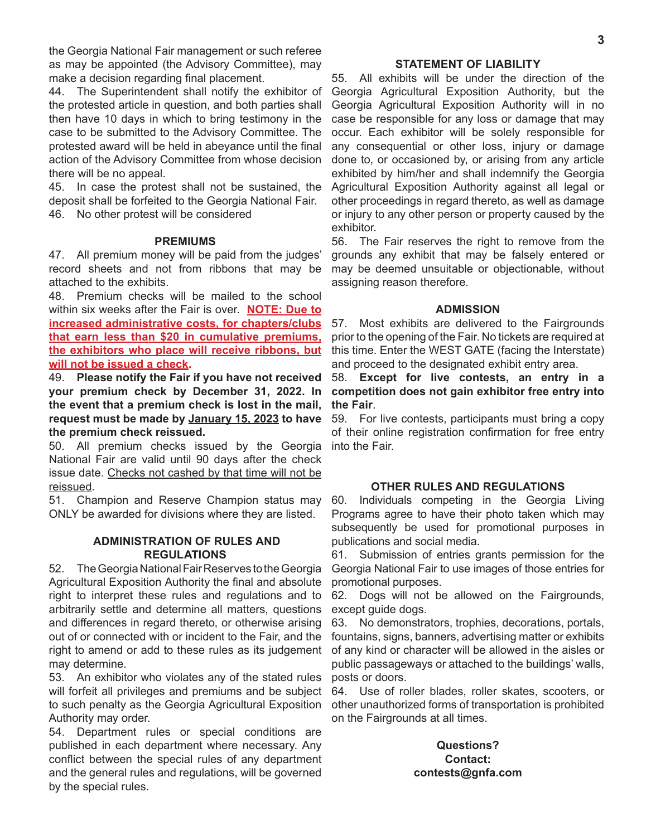the Georgia National Fair management or such referee as may be appointed (the Advisory Committee), may make a decision regarding final placement.

44. The Superintendent shall notify the exhibitor of the protested article in question, and both parties shall then have 10 days in which to bring testimony in the case to be submitted to the Advisory Committee. The protested award will be held in abeyance until the final action of the Advisory Committee from whose decision there will be no appeal.

45. In case the protest shall not be sustained, the deposit shall be forfeited to the Georgia National Fair.

46. No other protest will be considered

#### **PREMIUMS**

47. All premium money will be paid from the judges' record sheets and not from ribbons that may be attached to the exhibits.

48. Premium checks will be mailed to the school within six weeks after the Fair is over. **NOTE: Due to increased administrative costs, for chapters/clubs that earn less than \$20 in cumulative premiums, the exhibitors who place will receive ribbons, but will not be issued a check.**

49. **Please notify the Fair if you have not received your premium check by December 31, 2022. In the event that a premium check is lost in the mail, request must be made by January 15, 2023 to have the premium check reissued.** 

50. All premium checks issued by the Georgia National Fair are valid until 90 days after the check issue date. Checks not cashed by that time will not be reissued.

51. Champion and Reserve Champion status may ONLY be awarded for divisions where they are listed.

#### **ADMINISTRATION OF RULES AND REGULATIONS**

52. The Georgia National Fair Reserves to the Georgia Agricultural Exposition Authority the final and absolute right to interpret these rules and regulations and to arbitrarily settle and determine all matters, questions and differences in regard thereto, or otherwise arising out of or connected with or incident to the Fair, and the right to amend or add to these rules as its judgement may determine.

53. An exhibitor who violates any of the stated rules will forfeit all privileges and premiums and be subject to such penalty as the Georgia Agricultural Exposition Authority may order.

54. Department rules or special conditions are published in each department where necessary. Any conflict between the special rules of any department and the general rules and regulations, will be governed by the special rules.

#### **STATEMENT OF LIABILITY**

55. All exhibits will be under the direction of the Georgia Agricultural Exposition Authority, but the Georgia Agricultural Exposition Authority will in no case be responsible for any loss or damage that may occur. Each exhibitor will be solely responsible for any consequential or other loss, injury or damage done to, or occasioned by, or arising from any article exhibited by him/her and shall indemnify the Georgia Agricultural Exposition Authority against all legal or other proceedings in regard thereto, as well as damage or injury to any other person or property caused by the exhibitor.

56. The Fair reserves the right to remove from the grounds any exhibit that may be falsely entered or may be deemed unsuitable or objectionable, without assigning reason therefore.

#### **ADMISSION**

57. Most exhibits are delivered to the Fairgrounds prior to the opening of the Fair. No tickets are required at this time. Enter the WEST GATE (facing the Interstate) and proceed to the designated exhibit entry area.

58. **Except for live contests, an entry in a competition does not gain exhibitor free entry into the Fair**.

59. For live contests, participants must bring a copy of their online registration confirmation for free entry into the Fair.

#### **OTHER RULES AND REGULATIONS**

60. Individuals competing in the Georgia Living Programs agree to have their photo taken which may subsequently be used for promotional purposes in publications and social media.

61. Submission of entries grants permission for the Georgia National Fair to use images of those entries for promotional purposes.

62. Dogs will not be allowed on the Fairgrounds, except guide dogs.

63. No demonstrators, trophies, decorations, portals, fountains, signs, banners, advertising matter or exhibits of any kind or character will be allowed in the aisles or public passageways or attached to the buildings' walls, posts or doors.

64. Use of roller blades, roller skates, scooters, or other unauthorized forms of transportation is prohibited on the Fairgrounds at all times.

## **Questions? Contact: contests@gnfa.com**